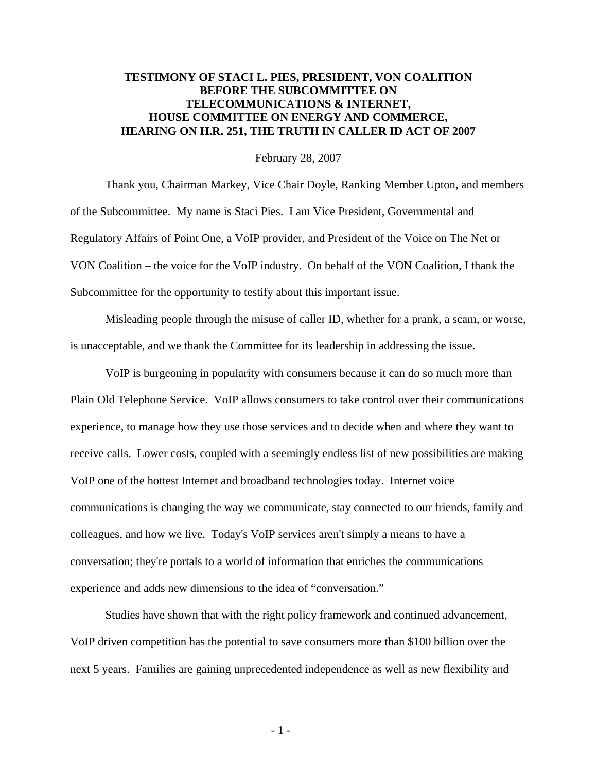## **TESTIMONY OF STACI L. PIES, PRESIDENT, VON COALITION BEFORE THE SUBCOMMITTEE ON TELECOMMUNIC**A**TIONS & INTERNET, HOUSE COMMITTEE ON ENERGY AND COMMERCE, HEARING ON H.R. 251, THE TRUTH IN CALLER ID ACT OF 2007**

## February 28, 2007

 Thank you, Chairman Markey, Vice Chair Doyle, Ranking Member Upton, and members of the Subcommittee. My name is Staci Pies. I am Vice President, Governmental and Regulatory Affairs of Point One, a VoIP provider, and President of the Voice on The Net or VON Coalition – the voice for the VoIP industry. On behalf of the VON Coalition, I thank the Subcommittee for the opportunity to testify about this important issue.

Misleading people through the misuse of caller ID, whether for a prank, a scam, or worse, is unacceptable, and we thank the Committee for its leadership in addressing the issue.

VoIP is burgeoning in popularity with consumers because it can do so much more than Plain Old Telephone Service. VoIP allows consumers to take control over their communications experience, to manage how they use those services and to decide when and where they want to receive calls. Lower costs, coupled with a seemingly endless list of new possibilities are making VoIP one of the hottest Internet and broadband technologies today. Internet voice communications is changing the way we communicate, stay connected to our friends, family and colleagues, and how we live. Today's VoIP services aren't simply a means to have a conversation; they're portals to a world of information that enriches the communications experience and adds new dimensions to the idea of "conversation."

Studies have shown that with the right policy framework and continued advancement, VoIP driven competition has the potential to save consumers more than \$100 billion over the next 5 years. Families are gaining unprecedented independence as well as new flexibility and

 $-1$  -  $1$  -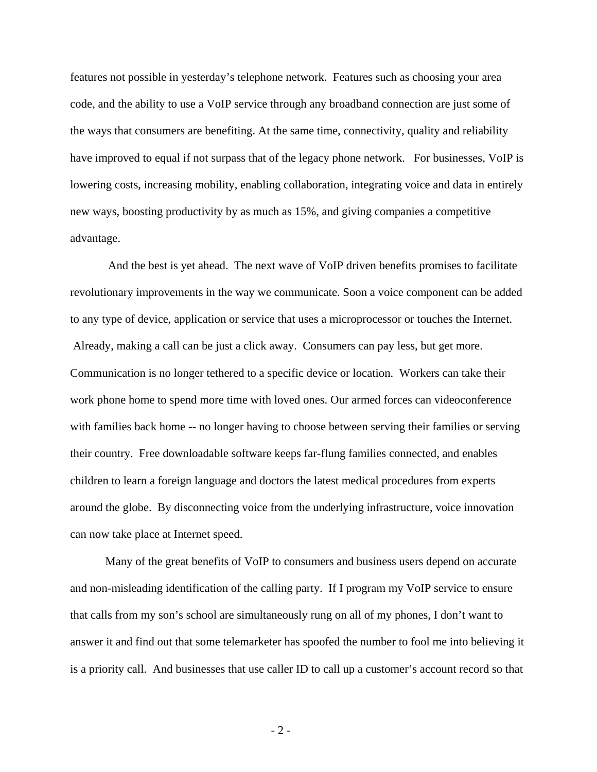features not possible in yesterday's telephone network. Features such as choosing your area code, and the ability to use a VoIP service through any broadband connection are just some of the ways that consumers are benefiting. At the same time, connectivity, quality and reliability have improved to equal if not surpass that of the legacy phone network. For businesses, VoIP is lowering costs, increasing mobility, enabling collaboration, integrating voice and data in entirely new ways, boosting productivity by as much as 15%, and giving companies a competitive advantage.

 And the best is yet ahead. The next wave of VoIP driven benefits promises to facilitate revolutionary improvements in the way we communicate. Soon a voice component can be added to any type of device, application or service that uses a microprocessor or touches the Internet. Already, making a call can be just a click away. Consumers can pay less, but get more. Communication is no longer tethered to a specific device or location. Workers can take their work phone home to spend more time with loved ones. Our armed forces can videoconference with families back home -- no longer having to choose between serving their families or serving their country. Free downloadable software keeps far-flung families connected, and enables children to learn a foreign language and doctors the latest medical procedures from experts around the globe. By disconnecting voice from the underlying infrastructure, voice innovation can now take place at Internet speed.

Many of the great benefits of VoIP to consumers and business users depend on accurate and non-misleading identification of the calling party. If I program my VoIP service to ensure that calls from my son's school are simultaneously rung on all of my phones, I don't want to answer it and find out that some telemarketer has spoofed the number to fool me into believing it is a priority call. And businesses that use caller ID to call up a customer's account record so that

 $-2-$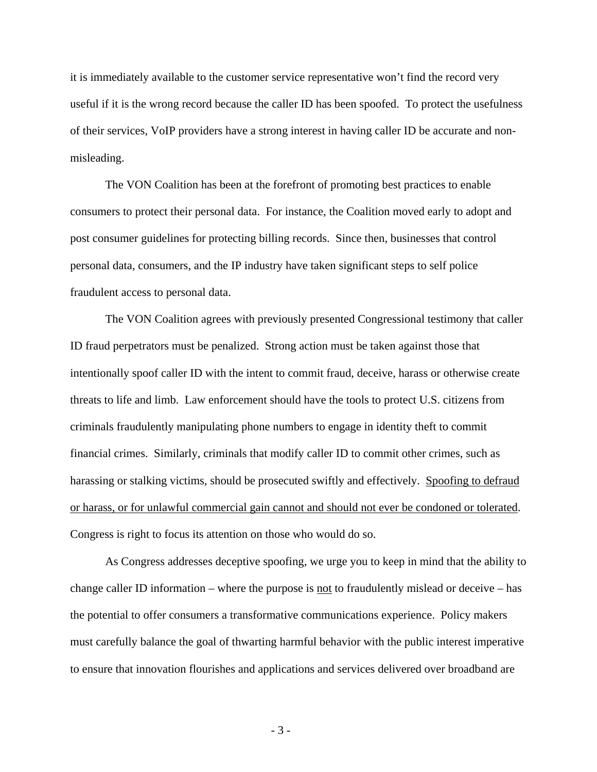it is immediately available to the customer service representative won't find the record very useful if it is the wrong record because the caller ID has been spoofed. To protect the usefulness of their services, VoIP providers have a strong interest in having caller ID be accurate and nonmisleading.

The VON Coalition has been at the forefront of promoting best practices to enable consumers to protect their personal data. For instance, the Coalition moved early to adopt and post consumer guidelines for protecting billing records. Since then, businesses that control personal data, consumers, and the IP industry have taken significant steps to self police fraudulent access to personal data.

The VON Coalition agrees with previously presented Congressional testimony that caller ID fraud perpetrators must be penalized. Strong action must be taken against those that intentionally spoof caller ID with the intent to commit fraud, deceive, harass or otherwise create threats to life and limb. Law enforcement should have the tools to protect U.S. citizens from criminals fraudulently manipulating phone numbers to engage in identity theft to commit financial crimes. Similarly, criminals that modify caller ID to commit other crimes, such as harassing or stalking victims, should be prosecuted swiftly and effectively. Spoofing to defraud or harass, or for unlawful commercial gain cannot and should not ever be condoned or tolerated. Congress is right to focus its attention on those who would do so.

As Congress addresses deceptive spoofing, we urge you to keep in mind that the ability to change caller ID information – where the purpose is <u>not</u> to fraudulently mislead or deceive – has the potential to offer consumers a transformative communications experience. Policy makers must carefully balance the goal of thwarting harmful behavior with the public interest imperative to ensure that innovation flourishes and applications and services delivered over broadband are

 $-3-$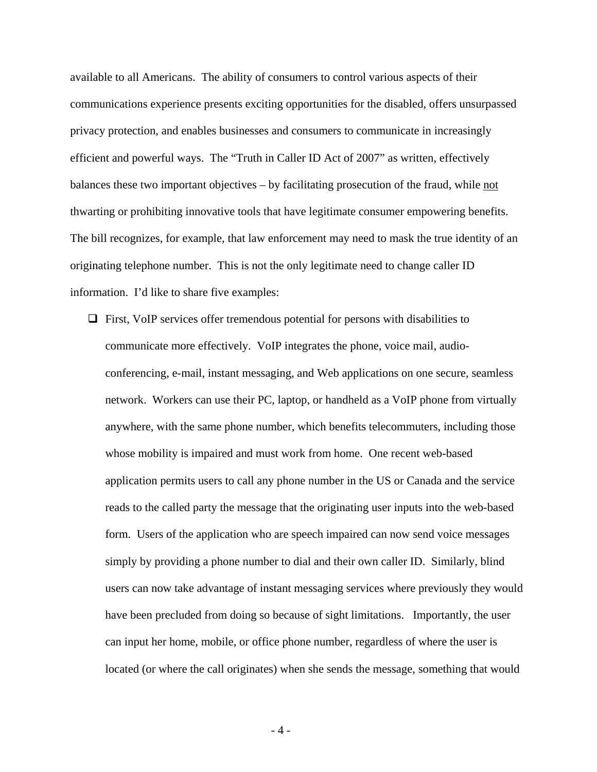available to all Americans. The ability of consumers to control various aspects of their communications experience presents exciting opportunities for the disabled, offers unsurpassed privacy protection, and enables businesses and consumers to communicate in increasingly efficient and powerful ways. The "Truth in Caller ID Act of 2007" as written, effectively balances these two important objectives – by facilitating prosecution of the fraud, while not thwarting or prohibiting innovative tools that have legitimate consumer empowering benefits. The bill recognizes, for example, that law enforcement may need to mask the true identity of an originating telephone number. This is not the only legitimate need to change caller ID information. I'd like to share five examples:

 $\Box$  First, VoIP services offer tremendous potential for persons with disabilities to communicate more effectively. VoIP integrates the phone, voice mail, audioconferencing, e-mail, instant messaging, and Web applications on one secure, seamless network. Workers can use their PC, laptop, or handheld as a VoIP phone from virtually anywhere, with the same phone number, which benefits telecommuters, including those whose mobility is impaired and must work from home. One recent web-based application permits users to call any phone number in the US or Canada and the service reads to the called party the message that the originating user inputs into the web-based form. Users of the application who are speech impaired can now send voice messages simply by providing a phone number to dial and their own caller ID. Similarly, blind users can now take advantage of instant messaging services where previously they would have been precluded from doing so because of sight limitations. Importantly, the user can input her home, mobile, or office phone number, regardless of where the user is located (or where the call originates) when she sends the message, something that would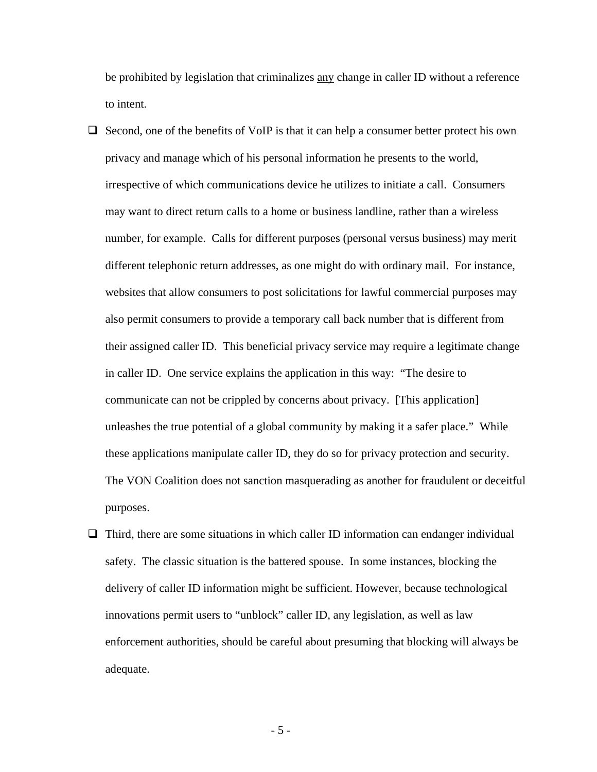be prohibited by legislation that criminalizes any change in caller ID without a reference to intent.

- $\Box$  Second, one of the benefits of VoIP is that it can help a consumer better protect his own privacy and manage which of his personal information he presents to the world, irrespective of which communications device he utilizes to initiate a call. Consumers may want to direct return calls to a home or business landline, rather than a wireless number, for example. Calls for different purposes (personal versus business) may merit different telephonic return addresses, as one might do with ordinary mail. For instance, websites that allow consumers to post solicitations for lawful commercial purposes may also permit consumers to provide a temporary call back number that is different from their assigned caller ID. This beneficial privacy service may require a legitimate change in caller ID. One service explains the application in this way: "The desire to communicate can not be crippled by concerns about privacy. [This application] unleashes the true potential of a global community by making it a safer place." While these applications manipulate caller ID, they do so for privacy protection and security. The VON Coalition does not sanction masquerading as another for fraudulent or deceitful purposes.
- $\Box$  Third, there are some situations in which caller ID information can endanger individual safety. The classic situation is the battered spouse. In some instances, blocking the delivery of caller ID information might be sufficient. However, because technological innovations permit users to "unblock" caller ID, any legislation, as well as law enforcement authorities, should be careful about presuming that blocking will always be adequate.

 $-5 -$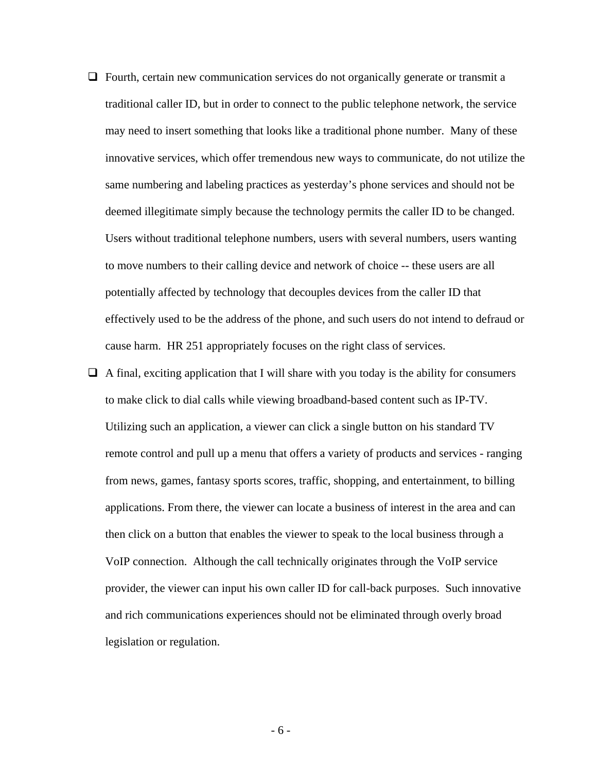- $\Box$  Fourth, certain new communication services do not organically generate or transmit a traditional caller ID, but in order to connect to the public telephone network, the service may need to insert something that looks like a traditional phone number. Many of these innovative services, which offer tremendous new ways to communicate, do not utilize the same numbering and labeling practices as yesterday's phone services and should not be deemed illegitimate simply because the technology permits the caller ID to be changed. Users without traditional telephone numbers, users with several numbers, users wanting to move numbers to their calling device and network of choice -- these users are all potentially affected by technology that decouples devices from the caller ID that effectively used to be the address of the phone, and such users do not intend to defraud or cause harm. HR 251 appropriately focuses on the right class of services.
- $\Box$  A final, exciting application that I will share with you today is the ability for consumers to make click to dial calls while viewing broadband-based content such as IP-TV. Utilizing such an application, a viewer can click a single button on his standard TV remote control and pull up a menu that offers a variety of products and services - ranging from news, games, fantasy sports scores, traffic, shopping, and entertainment, to billing applications. From there, the viewer can locate a business of interest in the area and can then click on a button that enables the viewer to speak to the local business through a VoIP connection. Although the call technically originates through the VoIP service provider, the viewer can input his own caller ID for call-back purposes. Such innovative and rich communications experiences should not be eliminated through overly broad legislation or regulation.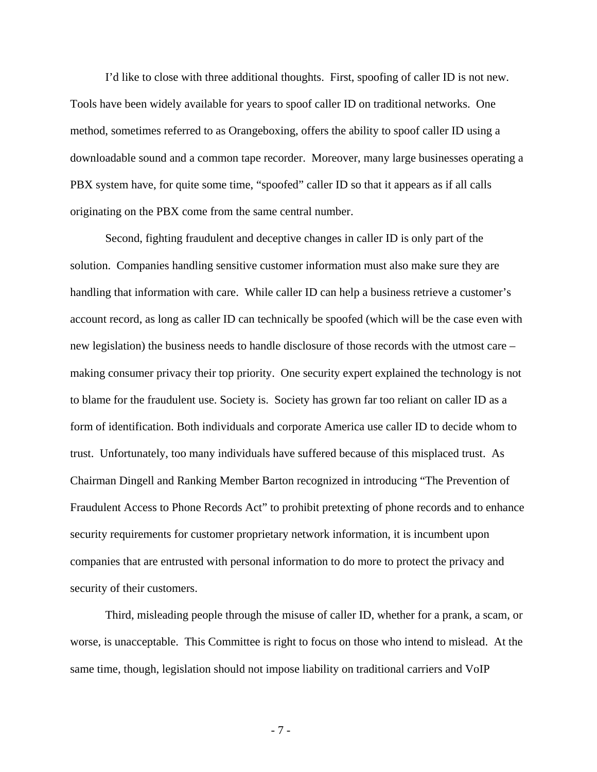I'd like to close with three additional thoughts. First, spoofing of caller ID is not new. Tools have been widely available for years to spoof caller ID on traditional networks. One method, sometimes referred to as Orangeboxing, offers the ability to spoof caller ID using a downloadable sound and a common tape recorder. Moreover, many large businesses operating a PBX system have, for quite some time, "spoofed" caller ID so that it appears as if all calls originating on the PBX come from the same central number.

Second, fighting fraudulent and deceptive changes in caller ID is only part of the solution. Companies handling sensitive customer information must also make sure they are handling that information with care. While caller ID can help a business retrieve a customer's account record, as long as caller ID can technically be spoofed (which will be the case even with new legislation) the business needs to handle disclosure of those records with the utmost care – making consumer privacy their top priority. One security expert explained the technology is not to blame for the fraudulent use. Society is. Society has grown far too reliant on caller ID as a form of identification. Both individuals and corporate America use caller ID to decide whom to trust. Unfortunately, too many individuals have suffered because of this misplaced trust. As Chairman Dingell and Ranking Member Barton recognized in introducing "The Prevention of Fraudulent Access to Phone Records Act" to prohibit pretexting of phone records and to enhance security requirements for customer proprietary network information, it is incumbent upon companies that are entrusted with personal information to do more to protect the privacy and security of their customers.

Third, misleading people through the misuse of caller ID, whether for a prank, a scam, or worse, is unacceptable. This Committee is right to focus on those who intend to mislead. At the same time, though, legislation should not impose liability on traditional carriers and VoIP

- 7 -